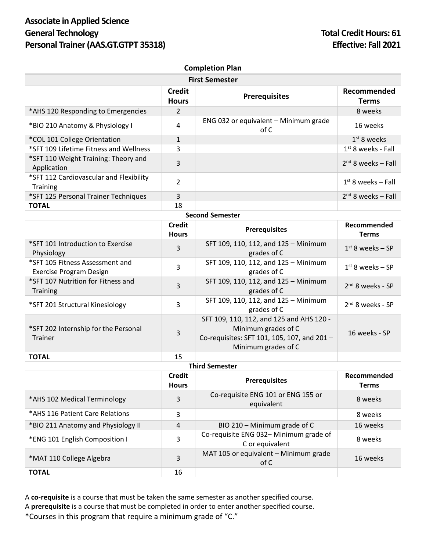## **Associate in Applied Science General Technology Total Credit Hours: 61 Personal Trainer (AAS.GT.GTPT 35318) Effective: Fall 2021**

| <b>Completion Plan</b>                                     |                               |                                               |                      |  |  |
|------------------------------------------------------------|-------------------------------|-----------------------------------------------|----------------------|--|--|
| <b>First Semester</b>                                      |                               |                                               |                      |  |  |
|                                                            | <b>Credit</b><br><b>Hours</b> | <b>Prerequisites</b>                          | Recommended<br>Terms |  |  |
| *AHS 120 Responding to Emergencies                         | 2                             |                                               | 8 weeks              |  |  |
| *BIO 210 Anatomy & Physiology I                            | 4                             | ENG 032 or equivalent - Minimum grade<br>of C | 16 weeks             |  |  |
| *COL 101 College Orientation                               | $\mathbf{1}$                  |                                               | $1st$ 8 weeks        |  |  |
| *SFT 109 Lifetime Fitness and Wellness                     | 3                             |                                               | $1st$ 8 weeks - Fall |  |  |
| *SFT 110 Weight Training: Theory and<br>Application        | 3                             |                                               | $2nd$ 8 weeks – Fall |  |  |
| *SFT 112 Cardiovascular and Flexibility<br><b>Training</b> | $\overline{2}$                |                                               | $1st$ 8 weeks – Fall |  |  |
| *SFT 125 Personal Trainer Techniques                       | 3                             |                                               | $2nd$ 8 weeks – Fall |  |  |
| <b>TOTAL</b>                                               | 18                            |                                               |                      |  |  |
| <b>Second Semester</b>                                     |                               |                                               |                      |  |  |

|                                                            | Credit<br><b>Hours</b> | <b>Prerequisites</b>                                                                                                                  | Recommended<br>Terms |  |  |
|------------------------------------------------------------|------------------------|---------------------------------------------------------------------------------------------------------------------------------------|----------------------|--|--|
| *SFT 101 Introduction to Exercise<br>Physiology            | 3                      | SFT 109, 110, 112, and 125 - Minimum<br>grades of C                                                                                   | $1st$ 8 weeks – SP   |  |  |
| *SFT 105 Fitness Assessment and<br>Exercise Program Design | 3                      | SFT 109, 110, 112, and 125 - Minimum<br>grades of C                                                                                   | $1st$ 8 weeks – SP   |  |  |
| *SFT 107 Nutrition for Fitness and<br><b>Training</b>      | 3                      | SFT 109, 110, 112, and 125 - Minimum<br>grades of C                                                                                   | $2nd$ 8 weeks - SP   |  |  |
| *SFT 201 Structural Kinesiology                            | 3                      | SFT 109, 110, 112, and 125 - Minimum<br>grades of C                                                                                   | $2nd$ 8 weeks - SP   |  |  |
| *SFT 202 Internship for the Personal<br><b>Trainer</b>     | 3                      | SFT 109, 110, 112, and 125 and AHS 120 -<br>Minimum grades of C<br>Co-requisites: SFT 101, 105, 107, and 201 -<br>Minimum grades of C | 16 weeks - SP        |  |  |
| <b>TOTAL</b>                                               | 15                     |                                                                                                                                       |                      |  |  |

## **Third Semester**

|                                    | Credit<br><b>Hours</b> | <b>Prerequisites</b>                                      | Recommended<br><b>Terms</b> |
|------------------------------------|------------------------|-----------------------------------------------------------|-----------------------------|
| *AHS 102 Medical Terminology       | 3                      | Co-requisite ENG 101 or ENG 155 or<br>equivalent          | 8 weeks                     |
| *AHS 116 Patient Care Relations    | 3                      |                                                           | 8 weeks                     |
| *BIO 211 Anatomy and Physiology II | 4                      | BIO 210 - Minimum grade of C                              | 16 weeks                    |
| *ENG 101 English Composition I     | 3                      | Co-requisite ENG 032- Minimum grade of<br>C or equivalent | 8 weeks                     |
| *MAT 110 College Algebra           | 3                      | MAT 105 or equivalent - Minimum grade<br>of C             | 16 weeks                    |
| <b>TOTAL</b>                       | 16                     |                                                           |                             |

A **co-requisite** is a course that must be taken the same semester as another specified course. A **prerequisite** is a course that must be completed in order to enter another specified course. \*Courses in this program that require a minimum grade of "C."